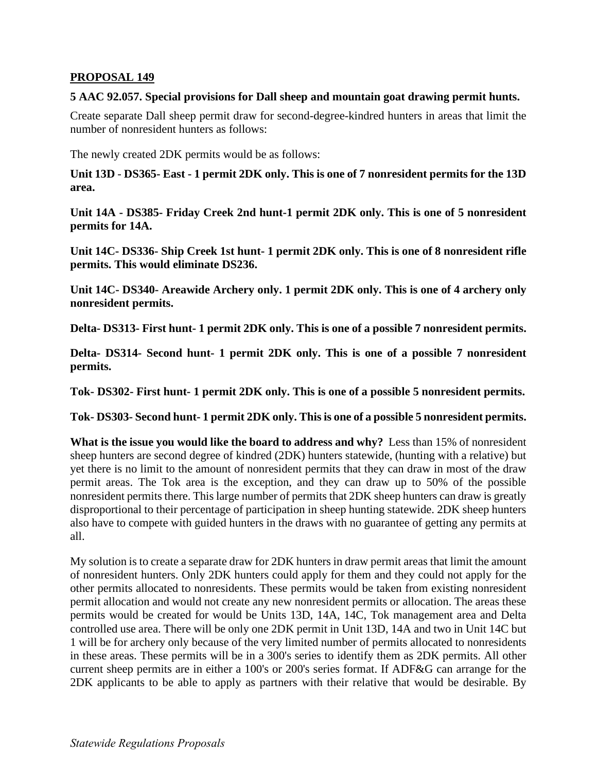## **PROPOSAL 149**

## **5 AAC 92.057. Special provisions for Dall sheep and mountain goat drawing permit hunts.**

Create separate Dall sheep permit draw for second-degree-kindred hunters in areas that limit the number of nonresident hunters as follows:

The newly created 2DK permits would be as follows:

**Unit 13D** - **DS365- East - 1 permit 2DK only. This is one of 7 nonresident permits for the 13D area.** 

**Unit 14A - DS385- Friday Creek 2nd hunt-1 permit 2DK only. This is one of 5 nonresident permits for 14A.** 

**Unit 14C- DS336- Ship Creek 1st hunt- 1 permit 2DK only. This is one of 8 nonresident rifle permits. This would eliminate DS236.** 

**Unit 14C- DS340- Areawide Archery only. 1 permit 2DK only. This is one of 4 archery only nonresident permits.** 

**Delta- DS313- First hunt- 1 permit 2DK only. This is one of a possible 7 nonresident permits.** 

**Delta- DS314- Second hunt- 1 permit 2DK only. This is one of a possible 7 nonresident permits.** 

**Tok- DS302- First hunt- 1 permit 2DK only. This is one of a possible 5 nonresident permits.** 

**Tok- DS303- Second hunt- 1 permit 2DK only. This is one of a possible 5 nonresident permits.** 

**What is the issue you would like the board to address and why?** Less than 15% of nonresident sheep hunters are second degree of kindred (2DK) hunters statewide, (hunting with a relative) but yet there is no limit to the amount of nonresident permits that they can draw in most of the draw permit areas. The Tok area is the exception, and they can draw up to 50% of the possible nonresident permits there. This large number of permits that 2DK sheep hunters can draw is greatly disproportional to their percentage of participation in sheep hunting statewide. 2DK sheep hunters also have to compete with guided hunters in the draws with no guarantee of getting any permits at all.

My solution is to create a separate draw for 2DK hunters in draw permit areas that limit the amount of nonresident hunters. Only 2DK hunters could apply for them and they could not apply for the other permits allocated to nonresidents. These permits would be taken from existing nonresident permit allocation and would not create any new nonresident permits or allocation. The areas these permits would be created for would be Units 13D, 14A, 14C, Tok management area and Delta controlled use area. There will be only one 2DK permit in Unit 13D, 14A and two in Unit 14C but 1 will be for archery only because of the very limited number of permits allocated to nonresidents in these areas. These permits will be in a 300's series to identify them as 2DK permits. All other current sheep permits are in either a 100's or 200's series format. If ADF&G can arrange for the 2DK applicants to be able to apply as partners with their relative that would be desirable. By